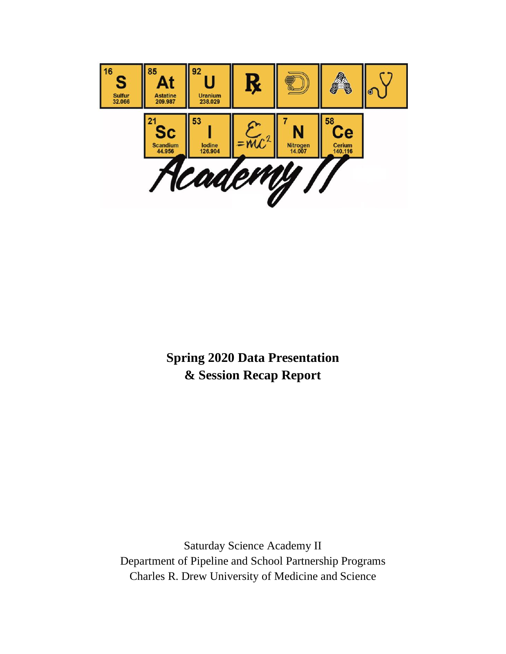

**Spring 2020 Data Presentation & Session Recap Report**

Saturday Science Academy II Department of Pipeline and School Partnership Programs Charles R. Drew University of Medicine and Science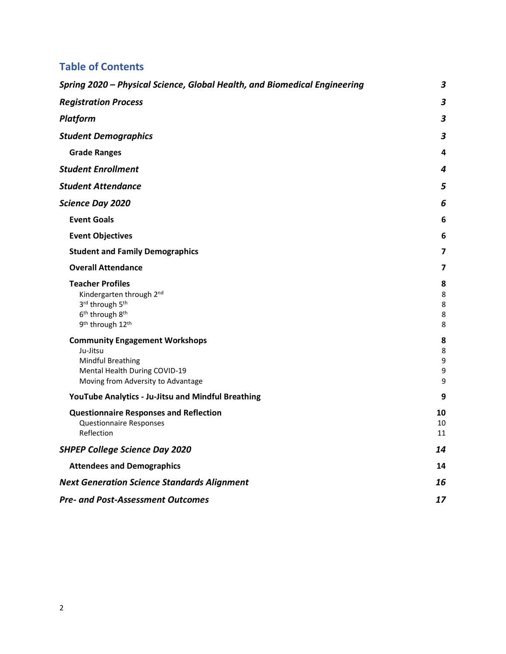## **Table of Contents**

| Spring 2020 - Physical Science, Global Health, and Biomedical Engineering                                                                                     | 3                       |
|---------------------------------------------------------------------------------------------------------------------------------------------------------------|-------------------------|
| <b>Registration Process</b>                                                                                                                                   | $\overline{\mathbf{3}}$ |
| <b>Platform</b>                                                                                                                                               | 3                       |
| <b>Student Demographics</b>                                                                                                                                   | 3                       |
| <b>Grade Ranges</b>                                                                                                                                           | 4                       |
| <b>Student Enrollment</b>                                                                                                                                     | 4                       |
| <b>Student Attendance</b>                                                                                                                                     | 5                       |
| <b>Science Day 2020</b>                                                                                                                                       | 6                       |
| <b>Event Goals</b>                                                                                                                                            | 6                       |
| <b>Event Objectives</b>                                                                                                                                       | 6                       |
| <b>Student and Family Demographics</b>                                                                                                                        | 7                       |
| <b>Overall Attendance</b>                                                                                                                                     | 7                       |
| <b>Teacher Profiles</b><br>Kindergarten through 2nd<br>3rd through 5th<br>6 <sup>th</sup> through 8 <sup>th</sup><br>9 <sup>th</sup> through 12 <sup>th</sup> | 8<br>8<br>8<br>8<br>8   |
| <b>Community Engagement Workshops</b><br>Ju-Jitsu<br><b>Mindful Breathing</b><br>Mental Health During COVID-19<br>Moving from Adversity to Advantage          | 8<br>8<br>9<br>9<br>9   |
| YouTube Analytics - Ju-Jitsu and Mindful Breathing                                                                                                            | 9                       |
| <b>Questionnaire Responses and Reflection</b><br><b>Questionnaire Responses</b><br>Reflection                                                                 | 10<br>10<br>11          |
| <b>SHPEP College Science Day 2020</b>                                                                                                                         | 14                      |
| <b>Attendees and Demographics</b>                                                                                                                             | 14                      |
| <b>Next Generation Science Standards Alignment</b>                                                                                                            | 16                      |
| <b>Pre- and Post-Assessment Outcomes</b>                                                                                                                      |                         |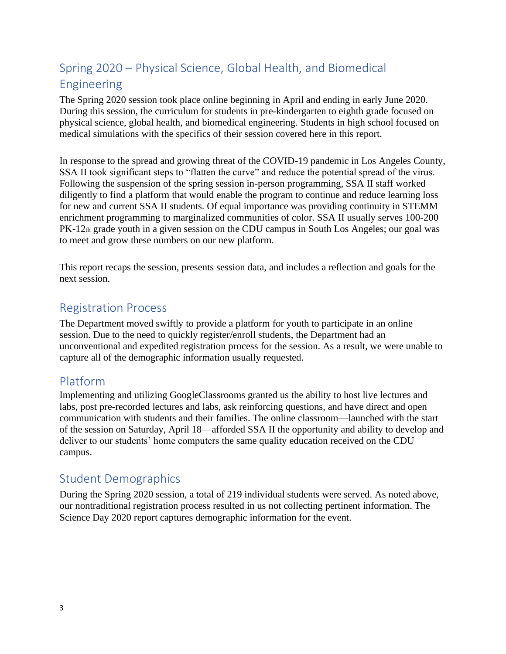# <span id="page-2-0"></span>Spring 2020 – Physical Science, Global Health, and Biomedical Engineering

The Spring 2020 session took place online beginning in April and ending in early June 2020. During this session, the curriculum for students in pre-kindergarten to eighth grade focused on physical science, global health, and biomedical engineering. Students in high school focused on medical simulations with the specifics of their session covered here in this report.

In response to the spread and growing threat of the COVID-19 pandemic in Los Angeles County, SSA II took significant steps to "flatten the curve" and reduce the potential spread of the virus. Following the suspension of the spring session in-person programming, SSA II staff worked diligently to find a platform that would enable the program to continue and reduce learning loss for new and current SSA II students. Of equal importance was providing continuity in STEMM enrichment programming to marginalized communities of color. SSA II usually serves 100-200 PK-12th grade youth in a given session on the CDU campus in South Los Angeles; our goal was to meet and grow these numbers on our new platform.

This report recaps the session, presents session data, and includes a reflection and goals for the next session.

## <span id="page-2-1"></span>Registration Process

The Department moved swiftly to provide a platform for youth to participate in an online session. Due to the need to quickly register/enroll students, the Department had an unconventional and expedited registration process for the session. As a result, we were unable to capture all of the demographic information usually requested.

## <span id="page-2-2"></span>Platform

Implementing and utilizing GoogleClassrooms granted us the ability to host live lectures and labs, post pre-recorded lectures and labs, ask reinforcing questions, and have direct and open communication with students and their families. The online classroom—launched with the start of the session on Saturday, April 18—afforded SSA II the opportunity and ability to develop and deliver to our students' home computers the same quality education received on the CDU campus.

## <span id="page-2-3"></span>Student Demographics

During the Spring 2020 session, a total of 219 individual students were served. As noted above, our nontraditional registration process resulted in us not collecting pertinent information. The Science Day 2020 report captures demographic information for the event.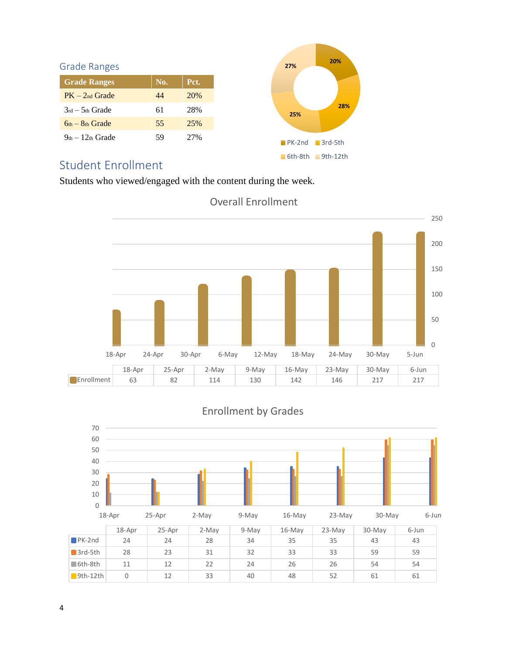<span id="page-3-0"></span>

| No. | Pct. |
|-----|------|
| 44  | 20%  |
| 61  | 28%  |
| 55  | 25%  |
| 59  | 27%  |
|     |      |



# <span id="page-3-1"></span>Student Enrollment

Students who viewed/engaged with the content during the week.



## Overall Enrollment

## Enrollment by Grades

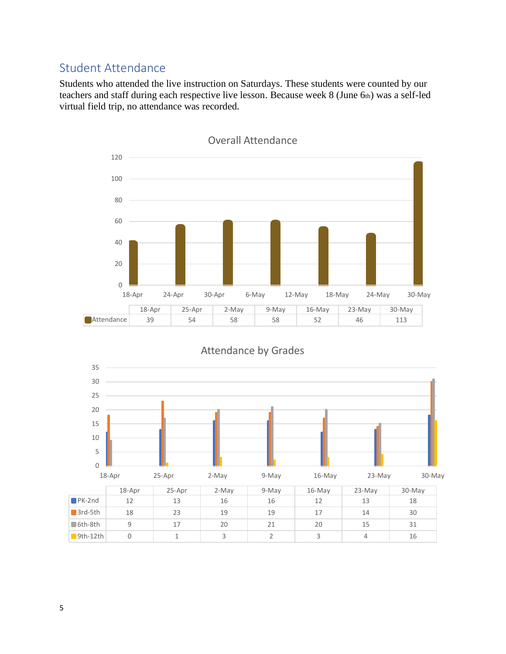# <span id="page-4-0"></span>Student Attendance

Students who attended the live instruction on Saturdays. These students were counted by our teachers and staff during each respective live lesson. Because week 8 (June 6th) was a self-led virtual field trip, no attendance was recorded.



0 5 10 15 20 25 30 35 18-Apr 25-Apr 2-May 9-May 16-May 23-May 30-May 18-Apr 25-Apr 2-May 9-May 16-May 23-May 30-May PK-2nd 12 13 16 16 12 13 18 3rd-5th 18 23 19 19 17 14 30 6th-8th 9 17 20 21 20 15 31 9th-12th 0 1 3 3 2 3 4 16

#### Attendance by Grades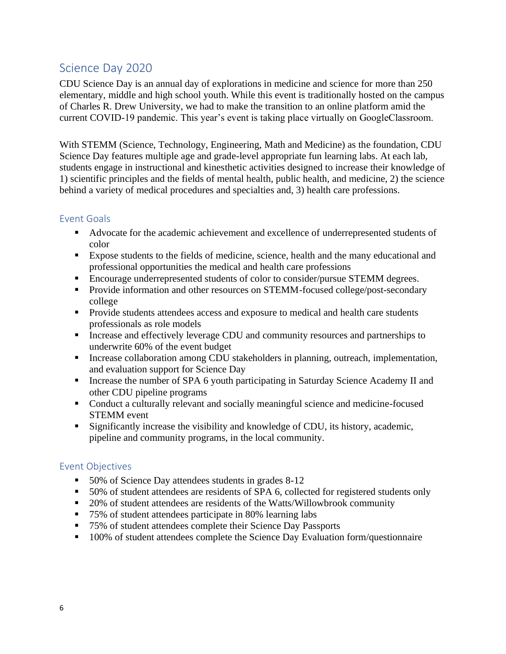# <span id="page-5-0"></span>Science Day 2020

CDU Science Day is an annual day of explorations in medicine and science for more than 250 elementary, middle and high school youth. While this event is traditionally hosted on the campus of Charles R. Drew University, we had to make the transition to an online platform amid the current COVID-19 pandemic. This year's event is taking place virtually on GoogleClassroom.

With STEMM (Science, Technology, Engineering, Math and Medicine) as the foundation, CDU Science Day features multiple age and grade-level appropriate fun learning labs. At each lab, students engage in instructional and kinesthetic activities designed to increase their knowledge of 1) scientific principles and the fields of mental health, public health, and medicine, 2) the science behind a variety of medical procedures and specialties and, 3) health care professions.

#### <span id="page-5-1"></span>Event Goals

- Advocate for the academic achievement and excellence of underrepresented students of color
- Expose students to the fields of medicine, science, health and the many educational and professional opportunities the medical and health care professions
- Encourage underrepresented students of color to consider/pursue STEMM degrees.
- **•** Provide information and other resources on STEMM-focused college/post-secondary college
- **•** Provide students attendees access and exposure to medical and health care students professionals as role models
- Increase and effectively leverage CDU and community resources and partnerships to underwrite 60% of the event budget
- **EXECUTE:** Increase collaboration among CDU stakeholders in planning, outreach, implementation, and evaluation support for Science Day
- **EXECUTE:** Increase the number of SPA 6 youth participating in Saturday Science Academy II and other CDU pipeline programs
- Conduct a culturally relevant and socially meaningful science and medicine-focused STEMM event
- Significantly increase the visibility and knowledge of CDU, its history, academic, pipeline and community programs, in the local community.

## <span id="page-5-2"></span>Event Objectives

- 50% of Science Day attendees students in grades 8-12
- 50% of student attendees are residents of SPA 6, collected for registered students only
- 20% of student attendees are residents of the Watts/Willowbrook community
- 75% of student attendees participate in 80% learning labs
- 75% of student attendees complete their Science Day Passports
- 100% of student attendees complete the Science Day Evaluation form/questionnaire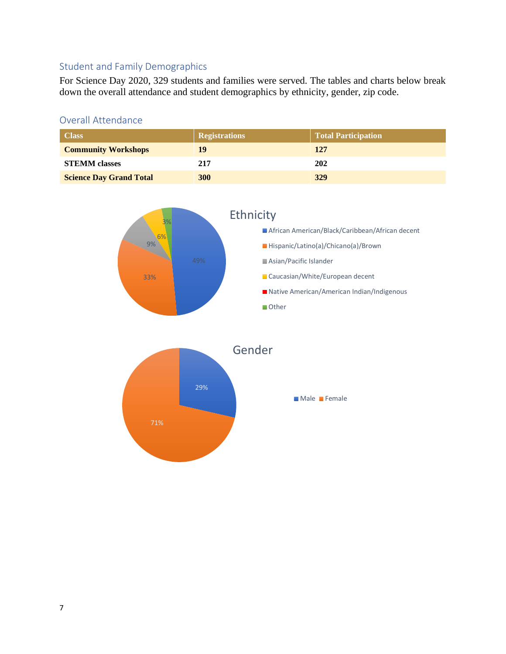## <span id="page-6-0"></span>Student and Family Demographics

For Science Day 2020, 329 students and families were served. The tables and charts below break down the overall attendance and student demographics by ethnicity, gender, zip code.

#### <span id="page-6-1"></span>Overall Attendance

| <b>Class</b>                   | <b>Registrations</b> | Total Participation |  |
|--------------------------------|----------------------|---------------------|--|
| <b>Community Workshops</b>     | 19                   | 127                 |  |
| <b>STEMM</b> classes           | 217                  | 202                 |  |
| <b>Science Day Grand Total</b> | 300                  | 329                 |  |



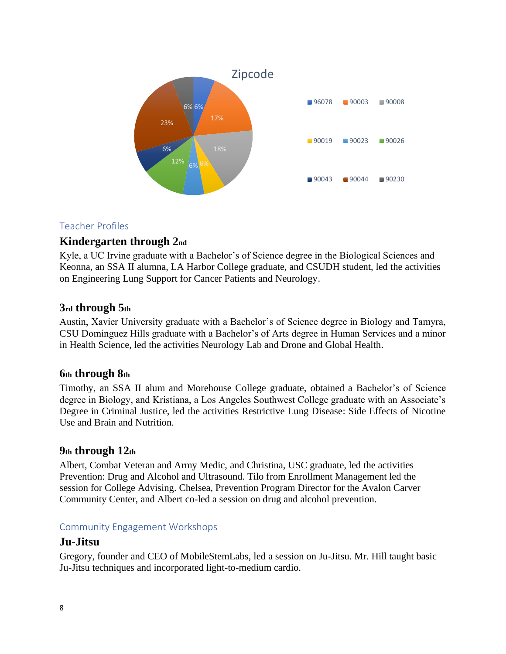

## <span id="page-7-0"></span>Teacher Profiles

## <span id="page-7-1"></span>**Kindergarten through 2nd**

Kyle, a UC Irvine graduate with a Bachelor's of Science degree in the Biological Sciences and Keonna, an SSA II alumna, LA Harbor College graduate, and CSUDH student, led the activities on Engineering Lung Support for Cancer Patients and Neurology.

#### <span id="page-7-2"></span>**3rd through 5th**

Austin, Xavier University graduate with a Bachelor's of Science degree in Biology and Tamyra, CSU Dominguez Hills graduate with a Bachelor's of Arts degree in Human Services and a minor in Health Science, led the activities Neurology Lab and Drone and Global Health.

#### <span id="page-7-3"></span>**6th through 8th**

Timothy, an SSA II alum and Morehouse College graduate, obtained a Bachelor's of Science degree in Biology, and Kristiana, a Los Angeles Southwest College graduate with an Associate's Degree in Criminal Justice, led the activities Restrictive Lung Disease: Side Effects of Nicotine Use and Brain and Nutrition.

#### <span id="page-7-4"></span>**9th through 12th**

Albert, Combat Veteran and Army Medic, and Christina, USC graduate, led the activities Prevention: Drug and Alcohol and Ultrasound. Tilo from Enrollment Management led the session for College Advising. Chelsea, Prevention Program Director for the Avalon Carver Community Center, and Albert co-led a session on drug and alcohol prevention.

#### <span id="page-7-5"></span>Community Engagement Workshops

#### <span id="page-7-6"></span>**Ju-Jitsu**

Gregory, founder and CEO of MobileStemLabs, led a session on Ju-Jitsu. Mr. Hill taught basic Ju-Jitsu techniques and incorporated light-to-medium cardio.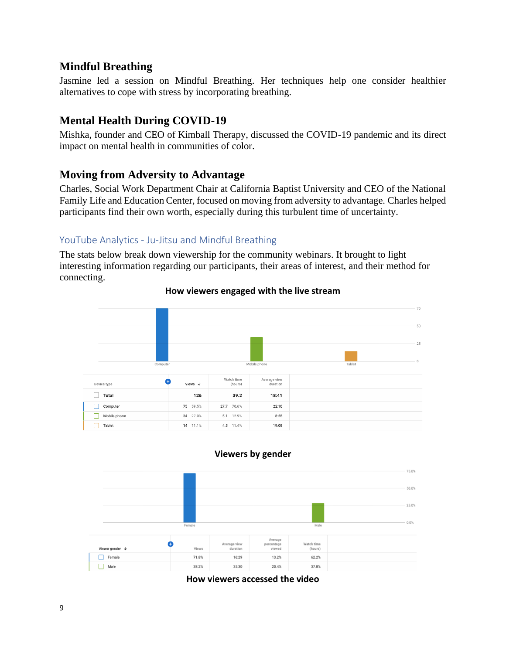## <span id="page-8-0"></span>**Mindful Breathing**

Jasmine led a session on Mindful Breathing. Her techniques help one consider healthier alternatives to cope with stress by incorporating breathing.

## <span id="page-8-1"></span>**Mental Health During COVID-19**

Mishka, founder and CEO of Kimball Therapy, discussed the COVID-19 pandemic and its direct impact on mental health in communities of color.

## <span id="page-8-2"></span>**Moving from Adversity to Advantage**

Charles, Social Work Department Chair at California Baptist University and CEO of the National Family Life and Education Center, focused on moving from adversity to advantage. Charles helped participants find their own worth, especially during this turbulent time of uncertainty.

#### <span id="page-8-3"></span>YouTube Analytics - Ju-Jitsu and Mindful Breathing

The stats below break down viewership for the community webinars. It brought to light interesting information regarding our participants, their areas of interest, and their method for connecting.



#### **How viewers engaged with the live stream**

#### **Viewers by gender**



**How viewers accessed the video**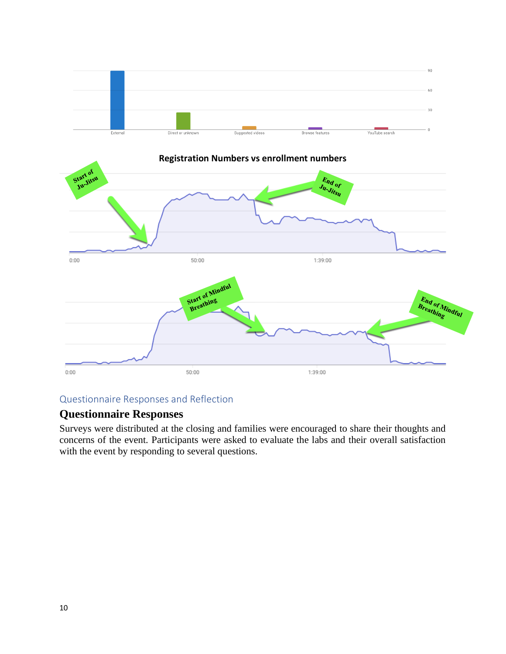



#### <span id="page-9-0"></span>Questionnaire Responses and Reflection

## <span id="page-9-1"></span>**Questionnaire Responses**

Surveys were distributed at the closing and families were encouraged to share their thoughts and concerns of the event. Participants were asked to evaluate the labs and their overall satisfaction with the event by responding to several questions.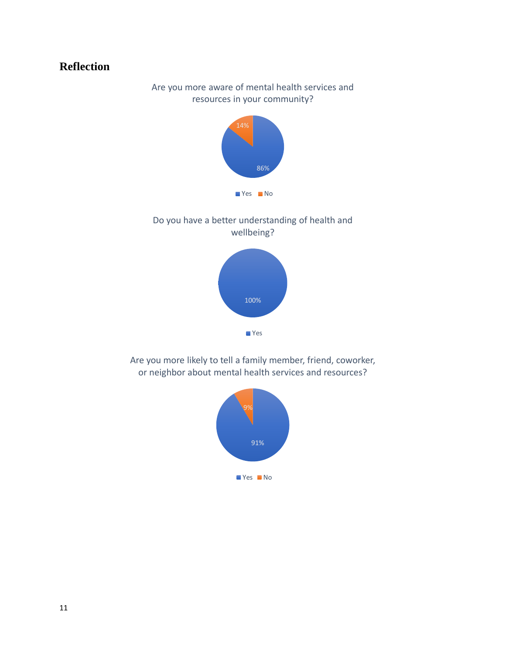# <span id="page-10-0"></span>**Reflection**

Are you more aware of mental health services and resources in your community?







Are you more likely to tell a family member, friend, coworker, or neighbor about mental health services and resources?

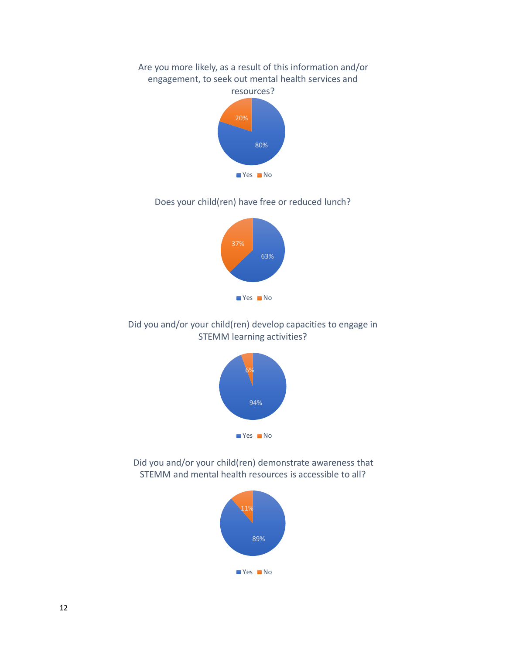# 80% 20% Are you more likely, as a result of this information and/or engagement, to seek out mental health services and resources? **No** Yes No

#### Does your child(ren) have free or reduced lunch?



## Did you and/or your child(ren) develop capacities to engage in STEMM learning activities?



Did you and/or your child(ren) demonstrate awareness that STEMM and mental health resources is accessible to all?

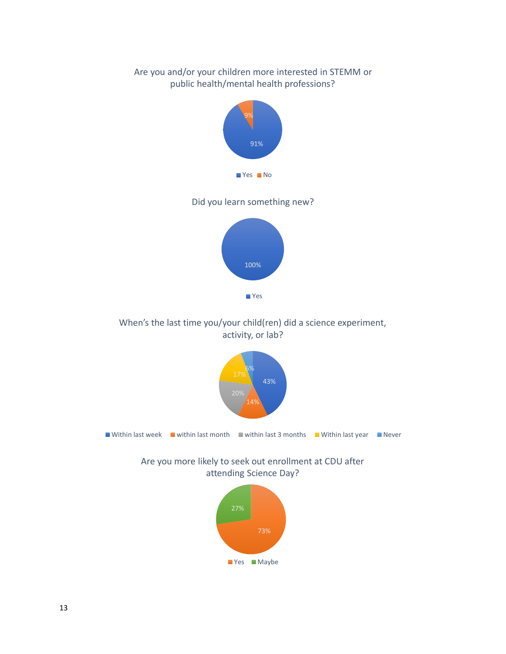## Are you and/or your children more interested in STEMM or public health/mental health professions?



Did you learn something new?



#### When's the last time you/your child(ren) did a science experiment, activity, or lab?



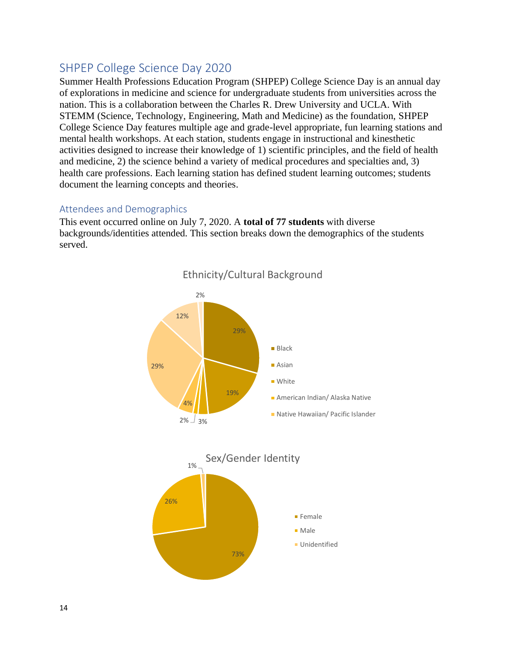## <span id="page-13-0"></span>SHPEP College Science Day 2020

Summer Health Professions Education Program (SHPEP) College Science Day is an annual day of explorations in medicine and science for undergraduate students from universities across the nation. This is a collaboration between the Charles R. Drew University and UCLA. With STEMM (Science, Technology, Engineering, Math and Medicine) as the foundation, SHPEP College Science Day features multiple age and grade-level appropriate, fun learning stations and mental health workshops. At each station, students engage in instructional and kinesthetic activities designed to increase their knowledge of 1) scientific principles, and the field of health and medicine, 2) the science behind a variety of medical procedures and specialties and, 3) health care professions. Each learning station has defined student learning outcomes; students document the learning concepts and theories.

#### <span id="page-13-1"></span>Attendees and Demographics

This event occurred online on July 7, 2020. A **total of 77 students** with diverse backgrounds/identities attended. This section breaks down the demographics of the students served.



Ethnicity/Cultural Background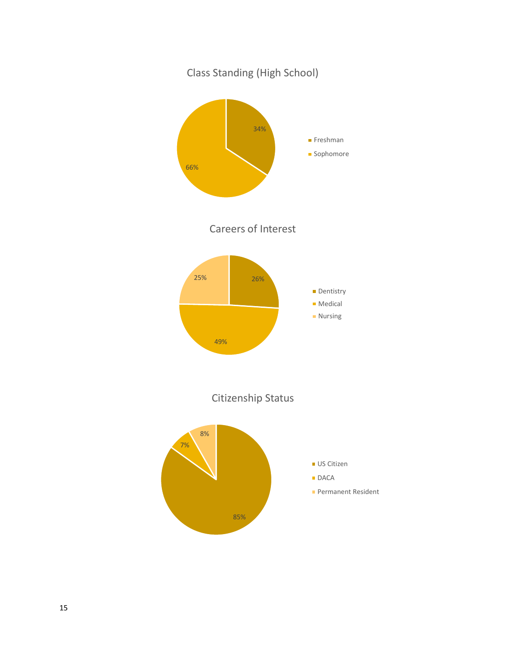

15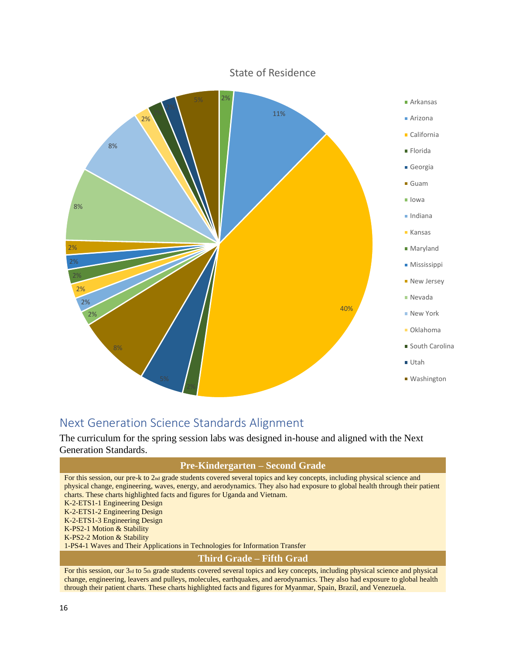

# <span id="page-15-0"></span>Next Generation Science Standards Alignment

The curriculum for the spring session labs was designed in-house and aligned with the Next Generation Standards.

#### **Pre-Kindergarten – Second Grade**

For this session, our pre-k to 2nd grade students covered several topics and key concepts, including physical science and physical change, engineering, waves, energy, and aerodynamics. They also had exposure to global health through their patient charts. These charts highlighted facts and figures for Uganda and Vietnam. K-2-ETS1-1 Engineering Design K-2-ETS1-2 Engineering Design K-2-ETS1-3 Engineering Design K-PS2-1 Motion & Stability K-PS2-2 Motion & Stability 1-PS4-1 Waves and Their Applications in Technologies for Information Transfer **Third Grade – Fifth Grad** For this session, our 3rd to 5th grade students covered several topics and key concepts, including physical science and physical

change, engineering, leavers and pulleys, molecules, earthquakes, and aerodynamics. They also had exposure to global health through their patient charts. These charts highlighted facts and figures for Myanmar, Spain, Brazil, and Venezuela.